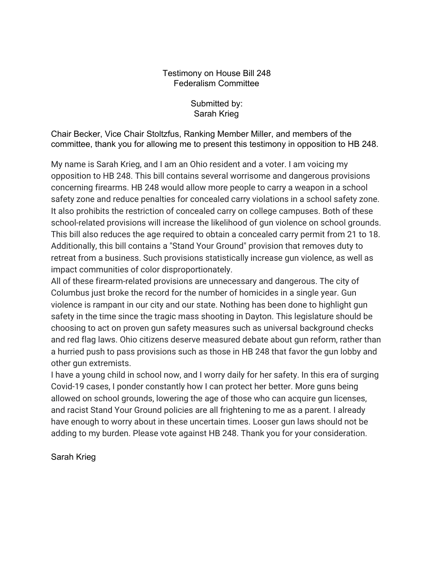## Testimony on House Bill 248 Federalism Committee

Submitted by: Sarah Krieg

Chair Becker, Vice Chair Stoltzfus, Ranking Member Miller, and members of the committee, thank you for allowing me to present this testimony in opposition to HB 248.

My name is Sarah Krieg, and I am an Ohio resident and a voter. I am voicing my opposition to HB 248. This bill contains several worrisome and dangerous provisions concerning firearms. HB 248 would allow more people to carry a weapon in a school safety zone and reduce penalties for concealed carry violations in a school safety zone. It also prohibits the restriction of concealed carry on college campuses. Both of these school-related provisions will increase the likelihood of gun violence on school grounds. This bill also reduces the age required to obtain a concealed carry permit from 21 to 18. Additionally, this bill contains a "Stand Your Ground" provision that removes duty to retreat from a business. Such provisions statistically increase gun violence, as well as impact communities of color disproportionately.

All of these firearm-related provisions are unnecessary and dangerous. The city of Columbus just broke the record for the number of homicides in a single year. Gun violence is rampant in our city and our state. Nothing has been done to highlight gun safety in the time since the tragic mass shooting in Dayton. This legislature should be choosing to act on proven gun safety measures such as universal background checks and red flag laws. Ohio citizens deserve measured debate about gun reform, rather than a hurried push to pass provisions such as those in HB 248 that favor the gun lobby and other gun extremists.

I have a young child in school now, and I worry daily for her safety. In this era of surging Covid-19 cases, I ponder constantly how I can protect her better. More guns being allowed on school grounds, lowering the age of those who can acquire gun licenses, and racist Stand Your Ground policies are all frightening to me as a parent. I already have enough to worry about in these uncertain times. Looser gun laws should not be adding to my burden. Please vote against HB 248. Thank you for your consideration.

Sarah Krieg